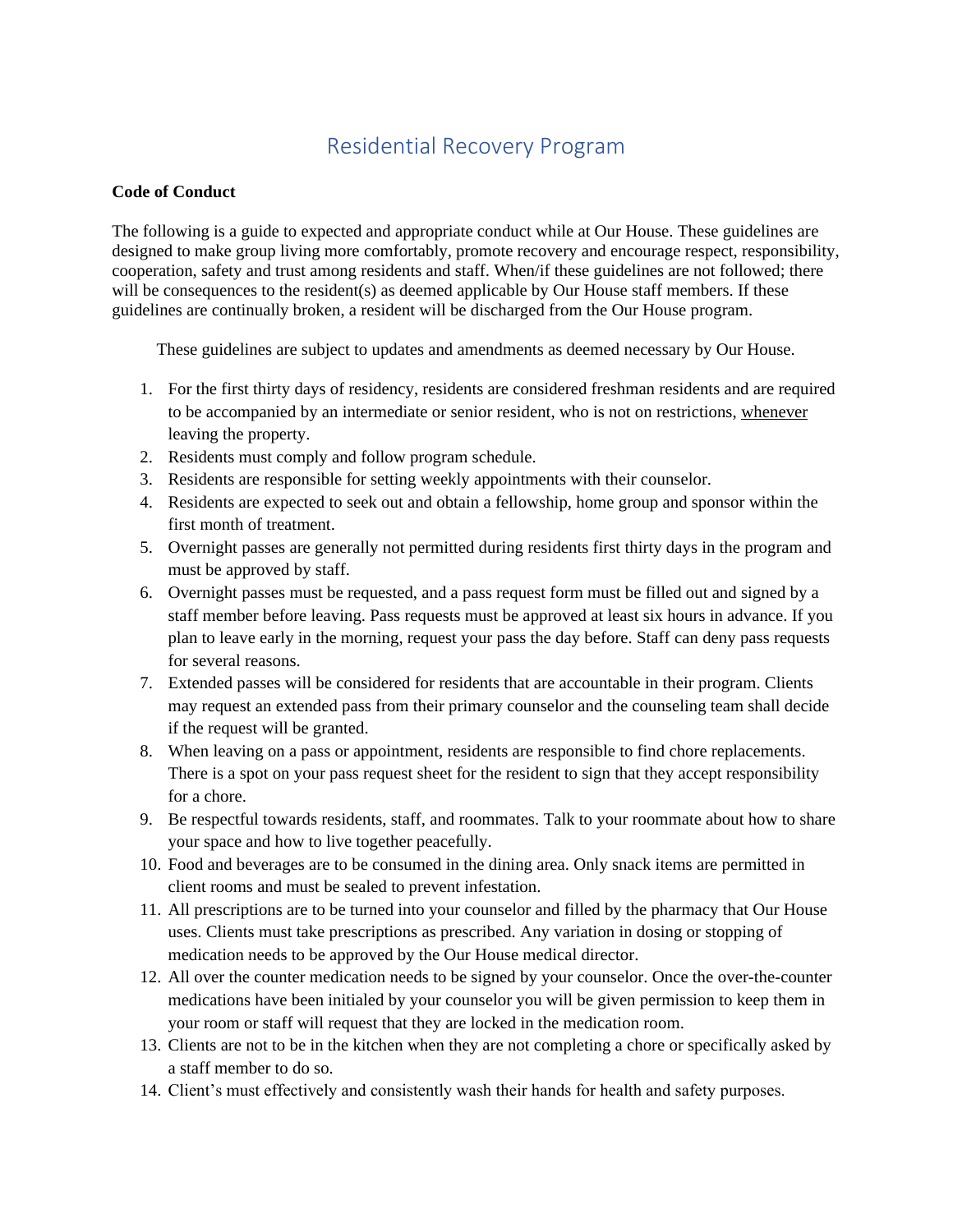## Residential Recovery Program

## **Code of Conduct**

The following is a guide to expected and appropriate conduct while at Our House. These guidelines are designed to make group living more comfortably, promote recovery and encourage respect, responsibility, cooperation, safety and trust among residents and staff. When/if these guidelines are not followed; there will be consequences to the resident(s) as deemed applicable by Our House staff members. If these guidelines are continually broken, a resident will be discharged from the Our House program.

These guidelines are subject to updates and amendments as deemed necessary by Our House.

- 1. For the first thirty days of residency, residents are considered freshman residents and are required to be accompanied by an intermediate or senior resident, who is not on restrictions, whenever leaving the property.
- 2. Residents must comply and follow program schedule.
- 3. Residents are responsible for setting weekly appointments with their counselor.
- 4. Residents are expected to seek out and obtain a fellowship, home group and sponsor within the first month of treatment.
- 5. Overnight passes are generally not permitted during residents first thirty days in the program and must be approved by staff.
- 6. Overnight passes must be requested, and a pass request form must be filled out and signed by a staff member before leaving. Pass requests must be approved at least six hours in advance. If you plan to leave early in the morning, request your pass the day before. Staff can deny pass requests for several reasons.
- 7. Extended passes will be considered for residents that are accountable in their program. Clients may request an extended pass from their primary counselor and the counseling team shall decide if the request will be granted.
- 8. When leaving on a pass or appointment, residents are responsible to find chore replacements. There is a spot on your pass request sheet for the resident to sign that they accept responsibility for a chore.
- 9. Be respectful towards residents, staff, and roommates. Talk to your roommate about how to share your space and how to live together peacefully.
- 10. Food and beverages are to be consumed in the dining area. Only snack items are permitted in client rooms and must be sealed to prevent infestation.
- 11. All prescriptions are to be turned into your counselor and filled by the pharmacy that Our House uses. Clients must take prescriptions as prescribed. Any variation in dosing or stopping of medication needs to be approved by the Our House medical director.
- 12. All over the counter medication needs to be signed by your counselor. Once the over-the-counter medications have been initialed by your counselor you will be given permission to keep them in your room or staff will request that they are locked in the medication room.
- 13. Clients are not to be in the kitchen when they are not completing a chore or specifically asked by a staff member to do so.
- 14. Client's must effectively and consistently wash their hands for health and safety purposes.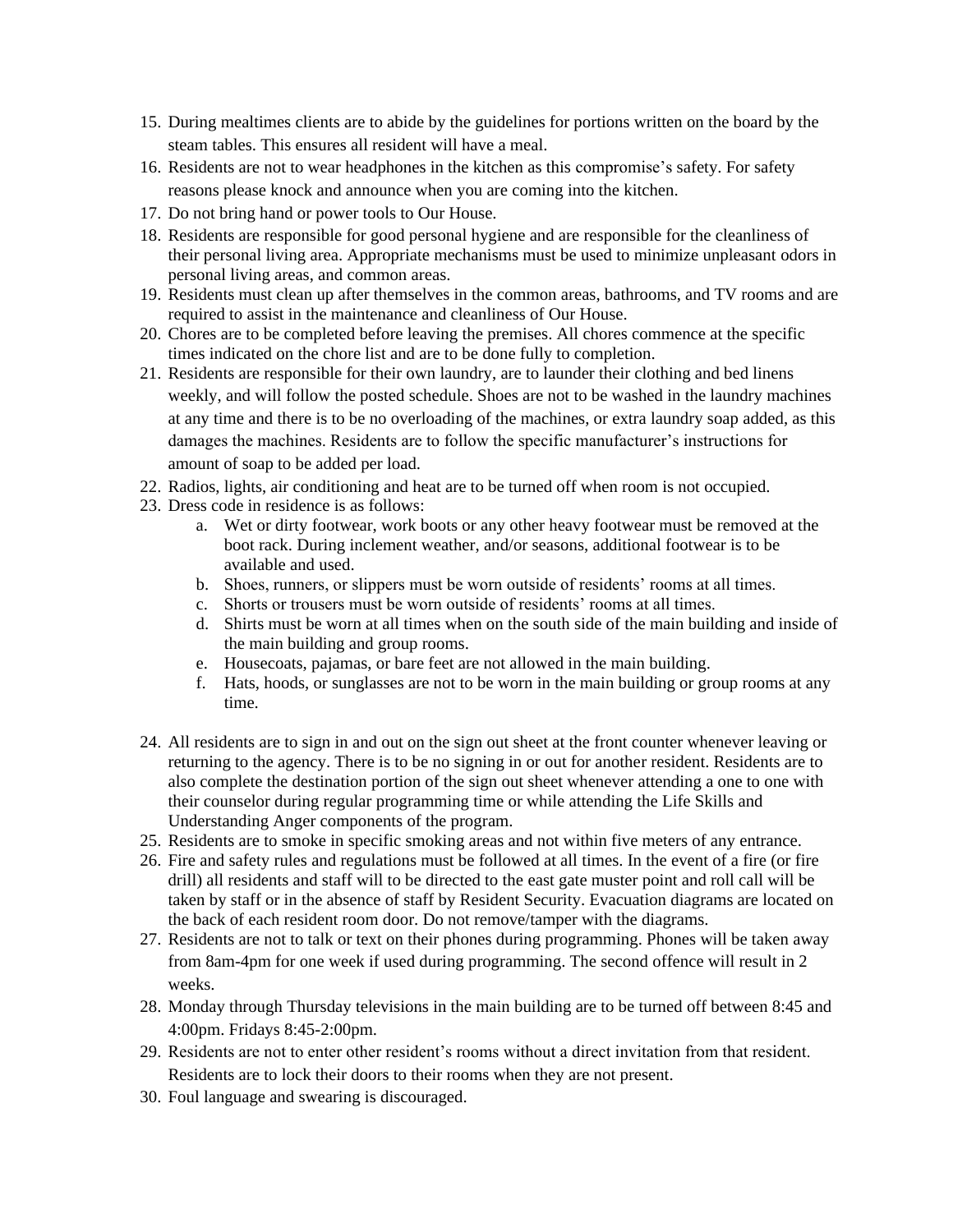- 15. During mealtimes clients are to abide by the guidelines for portions written on the board by the steam tables. This ensures all resident will have a meal.
- 16. Residents are not to wear headphones in the kitchen as this compromise's safety. For safety reasons please knock and announce when you are coming into the kitchen.
- 17. Do not bring hand or power tools to Our House.
- 18. Residents are responsible for good personal hygiene and are responsible for the cleanliness of their personal living area. Appropriate mechanisms must be used to minimize unpleasant odors in personal living areas, and common areas.
- 19. Residents must clean up after themselves in the common areas, bathrooms, and TV rooms and are required to assist in the maintenance and cleanliness of Our House.
- 20. Chores are to be completed before leaving the premises. All chores commence at the specific times indicated on the chore list and are to be done fully to completion.
- 21. Residents are responsible for their own laundry, are to launder their clothing and bed linens weekly, and will follow the posted schedule. Shoes are not to be washed in the laundry machines at any time and there is to be no overloading of the machines, or extra laundry soap added, as this damages the machines. Residents are to follow the specific manufacturer's instructions for amount of soap to be added per load.
- 22. Radios, lights, air conditioning and heat are to be turned off when room is not occupied.
- 23. Dress code in residence is as follows:
	- a. Wet or dirty footwear, work boots or any other heavy footwear must be removed at the boot rack. During inclement weather, and/or seasons, additional footwear is to be available and used.
	- b. Shoes, runners, or slippers must be worn outside of residents' rooms at all times.
	- c. Shorts or trousers must be worn outside of residents' rooms at all times.
	- d. Shirts must be worn at all times when on the south side of the main building and inside of the main building and group rooms.
	- e. Housecoats, pajamas, or bare feet are not allowed in the main building.
	- f. Hats, hoods, or sunglasses are not to be worn in the main building or group rooms at any time.
- 24. All residents are to sign in and out on the sign out sheet at the front counter whenever leaving or returning to the agency. There is to be no signing in or out for another resident. Residents are to also complete the destination portion of the sign out sheet whenever attending a one to one with their counselor during regular programming time or while attending the Life Skills and Understanding Anger components of the program.
- 25. Residents are to smoke in specific smoking areas and not within five meters of any entrance.
- 26. Fire and safety rules and regulations must be followed at all times. In the event of a fire (or fire drill) all residents and staff will to be directed to the east gate muster point and roll call will be taken by staff or in the absence of staff by Resident Security. Evacuation diagrams are located on the back of each resident room door. Do not remove/tamper with the diagrams.
- 27. Residents are not to talk or text on their phones during programming. Phones will be taken away from 8am-4pm for one week if used during programming. The second offence will result in 2 weeks.
- 28. Monday through Thursday televisions in the main building are to be turned off between 8:45 and 4:00pm. Fridays 8:45-2:00pm.
- 29. Residents are not to enter other resident's rooms without a direct invitation from that resident. Residents are to lock their doors to their rooms when they are not present.
- 30. Foul language and swearing is discouraged.